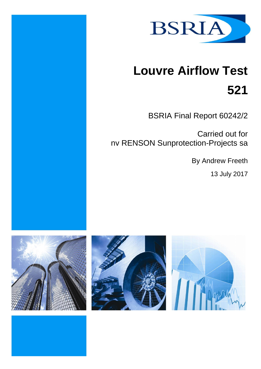

# **Louvre Airflow Test 521**

BSRIA Final Report 60242/2

Carried out for nv RENSON Sunprotection-Projects sa

By Andrew Freeth

13 July 2017



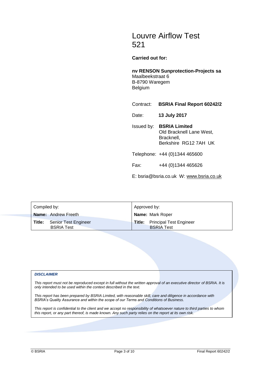## Louvre Airflow Test 521

**Carried out for:**

**nv RENSON Sunprotection-Projects sa** Maalbeekstraat 6 B-8790 Waregem Belgium

Contract: **BSRIA Final Report 60242/2**

Date: **13 July 2017**

Issued by: **BSRIA Limited** Old Bracknell Lane West, Bracknell, Berkshire RG12 7AH UK

Telephone: +44 (0)1344 465600

Fax: +44 (0)1344 465626

E: bsria@bsria.co.uk W: [www.bsria.co.uk](http://www.bsria.co.uk/)

| Compiled by:               |                                           | Approved by:            |                                                            |
|----------------------------|-------------------------------------------|-------------------------|------------------------------------------------------------|
| <b>Name:</b> Andrew Freeth |                                           | <b>Name: Mark Roper</b> |                                                            |
| Title:                     | Senior Test Engineer<br><b>BSRIA Test</b> |                         | <b>Title:</b> Principal Test Engineer<br><b>BSRIA Test</b> |

#### *DISCLAIMER*

*This report must not be reproduced except in full without the written approval of an executive director of BSRIA. It is only intended to be used within the context described in the text.*

*This report has been prepared by BSRIA Limited, with reasonable skill, care and diligence in accordance with BSRIA's Quality Assurance and within the scope of our Terms and Conditions of Business.*

*This report is confidential to the client and we accept no responsibility of whatsoever nature to third parties to whom this report, or any part thereof, is made known. Any such party relies on the report at its own risk.*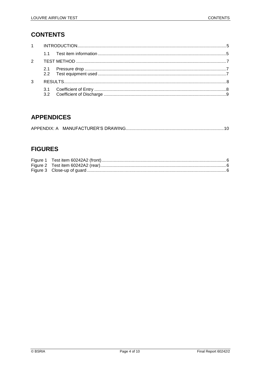## **CONTENTS**

| $\overline{2}$ |  |  |  |
|----------------|--|--|--|
|                |  |  |  |
| 3              |  |  |  |
|                |  |  |  |

## **APPENDICES**

## **FIGURES**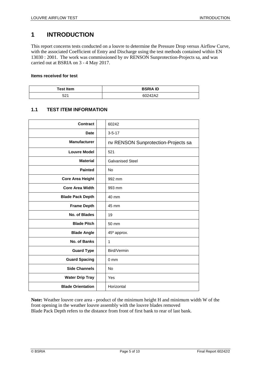## <span id="page-4-0"></span>**1 INTRODUCTION**

This report concerns tests conducted on a louvre to determine the Pressure Drop versus Airflow Curve, with the associated Coefficient of Entry and Discharge using the test methods contained within EN 13030 : 2001. The work was commissioned by nv RENSON Sunprotection-Projects sa, and was carried out at BSRIA on 3 - 4 May 2017.

#### **Items received for test**

| <b>Test Item</b>    | <b>BSRIA ID</b> |  |
|---------------------|-----------------|--|
| $E^{\eta A}$<br>ు∠. | 60242A2         |  |

#### <span id="page-4-1"></span>**1.1 TEST ITEM INFORMATION**

| <b>Contract</b>          | 60242                               |
|--------------------------|-------------------------------------|
| <b>Date</b>              | $3 - 5 - 17$                        |
| <b>Manufacturer</b>      | nv RENSON Sunprotection-Projects sa |
| <b>Louvre Model</b>      | 521                                 |
| <b>Material</b>          | <b>Galvanised Steel</b>             |
| <b>Painted</b>           | <b>No</b>                           |
| <b>Core Area Height</b>  | 992 mm                              |
| <b>Core Area Width</b>   | 993 mm                              |
| <b>Blade Pack Depth</b>  | 40 mm                               |
| <b>Frame Depth</b>       | 45 mm                               |
| No. of Blades            | 19                                  |
| <b>Blade Pitch</b>       | 50 mm                               |
| <b>Blade Angle</b>       | 45° approx.                         |
| No. of Banks             | 1                                   |
| <b>Guard Type</b>        | Bird/Vermin                         |
| <b>Guard Spacing</b>     | 0 <sub>mm</sub>                     |
| <b>Side Channels</b>     | <b>No</b>                           |
| <b>Water Drip Tray</b>   | Yes                                 |
| <b>Blade Orientation</b> | Horizontal                          |

**Note:** Weather louvre core area - product of the minimum height H and minimum width W of the front opening in the weather louvre assembly with the louvre blades removed Blade Pack Depth refers to the distance from front of first bank to rear of last bank.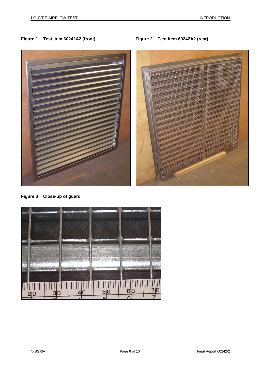#### <span id="page-5-1"></span><span id="page-5-0"></span>**Figure 1 Test item 60242A2 (front) Figure 2 Test item 60242A2 (rear)**



**Figure 3 Close-up of guard**

<span id="page-5-2"></span>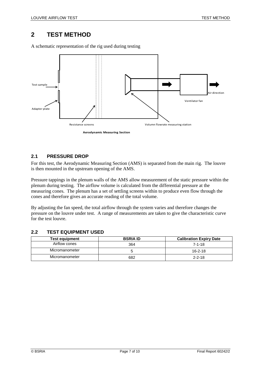## <span id="page-6-0"></span>**2 TEST METHOD**

A schematic representation of the rig used during testing



#### <span id="page-6-1"></span>**2.1 PRESSURE DROP**

For this test, the Aerodynamic Measuring Section (AMS) is separated from the main rig. The louvre is then mounted in the upstream opening of the AMS.

Pressure tappings in the plenum walls of the AMS allow measurement of the static pressure within the plenum during testing. The airflow volume is calculated from the differential pressure at the measuring cones. The plenum has a set of settling screens within to produce even flow through the cones and therefore gives an accurate reading of the total volume.

By adjusting the fan speed, the total airflow through the system varies and therefore changes the pressure on the louvre under test. A range of measurements are taken to give the characteristic curve for the test louvre.

#### <span id="page-6-2"></span>**2.2 TEST EQUIPMENT USED**

| <b>Test equipment</b> | <b>BSRIA ID</b> | <b>Calibration Expiry Date</b> |  |
|-----------------------|-----------------|--------------------------------|--|
| Airflow cones         | 364             | $7 - 1 - 18$                   |  |
| Micromanometer        |                 | $16 - 2 - 18$                  |  |
| Micromanometer        | 682             | $2 - 2 - 18$                   |  |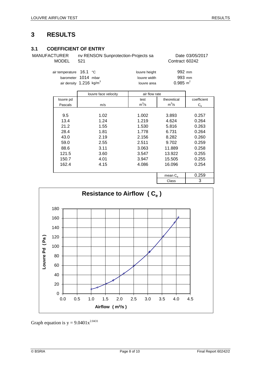## <span id="page-7-0"></span>**3 RESULTS**

#### <span id="page-7-1"></span>**3.1 COEFFICIENT OF ENTRY**

MANUFACTURER nv RENSON Sunprotection-Projects sa Date 03/05/2017

MODEL 521 Contract 60242

| air temperature 16.1 °C               |  | louvre height | 992 mm              |
|---------------------------------------|--|---------------|---------------------|
| barometer 1014 mbar                   |  | louvre width  | 993 mm              |
| air density $1.216$ kg/m <sup>3</sup> |  | louvre area   | $0.985 \text{ m}^2$ |

|           | louvre face velocity | air flow rate |                   |             |
|-----------|----------------------|---------------|-------------------|-------------|
| louvre pd |                      | test          | theoretical       | coefficient |
| Pascals   | m/s                  | $m^3/s$       | $m^3/s$           | $C_{\rm e}$ |
|           |                      |               |                   |             |
| 9.5       | 1.02                 | 1.002         | 3.893             | 0.257       |
| 13.4      | 1.24                 | 1.219         | 4.624             | 0.264       |
| 21.2      | 1.55                 | 1.530         | 5.816             | 0.263       |
| 28.4      | 1.81                 | 1.778         | 6.731             | 0.264       |
| 43.0      | 2.19                 | 2.156         | 8.282             | 0.260       |
| 59.0      | 2.55                 | 2.511         | 9.702             | 0.259       |
| 88.6      | 3.11                 | 3.063         | 11.889            | 0.258       |
| 121.5     | 3.60                 | 3.547         | 13.922            | 0.255       |
| 150.7     | 4.01                 | 3.947         | 15.505            | 0.255       |
| 162.4     | 4.15                 | 4.086         | 16.096            | 0.254       |
|           |                      |               |                   |             |
|           |                      |               | mean $C_{\alpha}$ | 0.259       |
|           |                      |               | Class             | 3           |



Graph equation is  $y = 9.0401x^{2.0431}$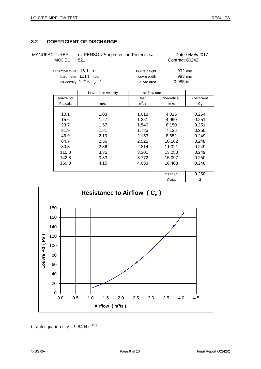### <span id="page-8-0"></span>**3.2 COEFFICIENT OF DISCHARGE**

| MANUFACTURER<br><b>MODEL</b>                                                                     | 521 | nv RENSON Sunprotection-Projects sa          | Date 04/05/2017<br>Contract 60242       |
|--------------------------------------------------------------------------------------------------|-----|----------------------------------------------|-----------------------------------------|
| air temperature $16.1 \degree$ C<br>barometer 1014 mbar<br>air density $1.216$ kg/m <sup>3</sup> |     | louvre height<br>louvre width<br>louvre area | 992 mm<br>993 mm<br>$0.985 \text{ m}^2$ |

|           | louvre face velocity | air flow rate |              |             |
|-----------|----------------------|---------------|--------------|-------------|
| louvre pd |                      | test          | theoretical  | coefficient |
| Pascals   | m/s                  | $m^3/s$       | $m^3/s$      | $C_d$       |
|           |                      |               |              |             |
| 10.1      | 1.03                 | 1.018         | 4.015        | 0.254       |
| 15.6      | 1.27                 | 1.251         | 4.990        | 0.251       |
| 23.7      | 1.57                 | 1.546         | 6.150        | 0.251       |
| 31.9      | 1.81                 | 1.785         | 7.135        | 0.250       |
| 46.9      | 2.19                 | 2.153         | 8.652        | 0.249       |
| 64.7      | 2.56                 | 2.525         | 10.162       | 0.248       |
| 80.3      | 2.86                 | 2.814         | 11.321       | 0.249       |
| 110.0     | 3.35                 | 3.301         | 13.250       | 0.249       |
| 142.8     | 3.83                 | 3.772         | 15.097       | 0.250       |
| 169.8     | 4.15                 | 4.083         | 16.463       | 0.248       |
|           |                      |               |              |             |
|           |                      |               | mean $C_{d}$ | 0.250       |
|           |                      |               | Class        | 3           |



Graph equation is  $y = 9.8494x^{2.0235}$